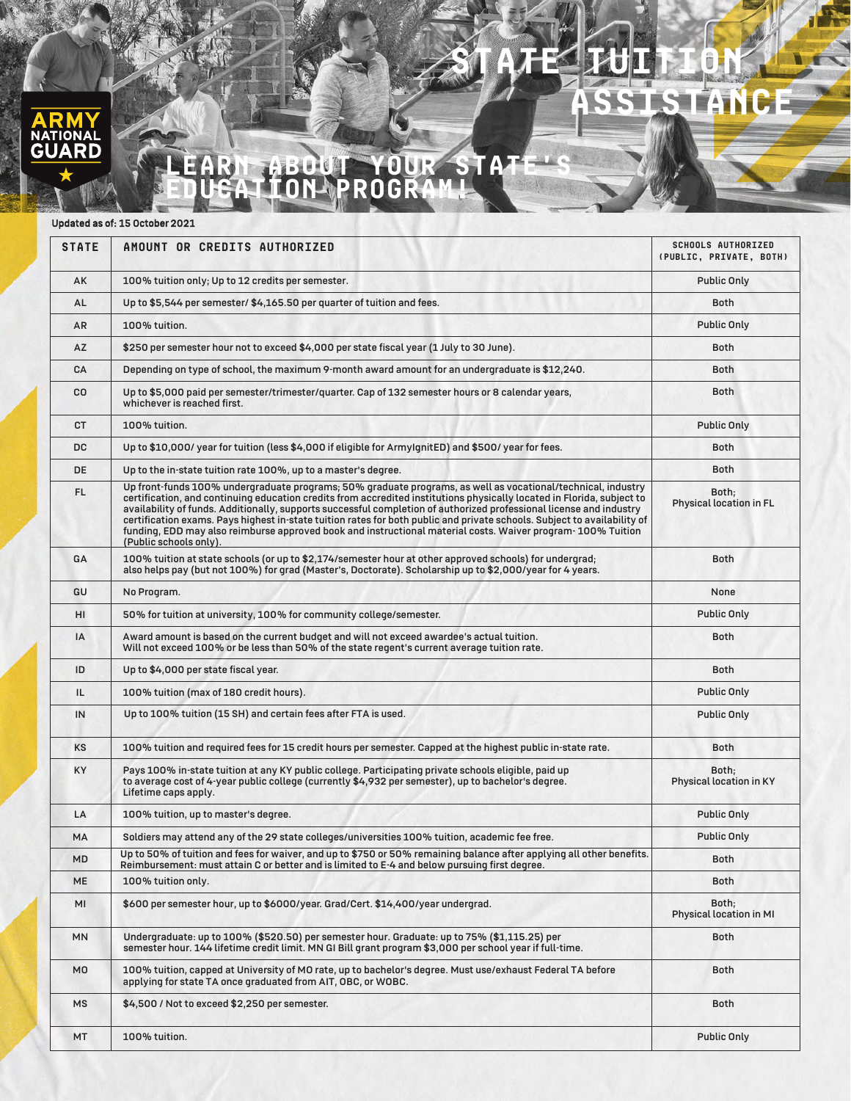## G

## **Learn about your State's education program!**

 **state Tuition**

**Assistance**

## Updated as of: 15 October 2021

| <b>STATE</b>   | AMOUNT OR CREDITS AUTHORIZED                                                                                                                                                                                                                                                                                                                                                                                                                                                                                                                                                                                                        | <b>SCHOOLS AUTHORIZED</b><br>(PUBLIC, PRIVATE, BOTH) |
|----------------|-------------------------------------------------------------------------------------------------------------------------------------------------------------------------------------------------------------------------------------------------------------------------------------------------------------------------------------------------------------------------------------------------------------------------------------------------------------------------------------------------------------------------------------------------------------------------------------------------------------------------------------|------------------------------------------------------|
| AK             | 100% tuition only; Up to 12 credits per semester.                                                                                                                                                                                                                                                                                                                                                                                                                                                                                                                                                                                   | Public Only                                          |
| AL             | Up to \$5,544 per semester/ \$4,165.50 per quarter of tuition and fees.                                                                                                                                                                                                                                                                                                                                                                                                                                                                                                                                                             | <b>Both</b>                                          |
| AR             | 100% tuition.                                                                                                                                                                                                                                                                                                                                                                                                                                                                                                                                                                                                                       | <b>Public Only</b>                                   |
| AZ             | \$250 per semester hour not to exceed \$4,000 per state fiscal year (1 July to 30 June).                                                                                                                                                                                                                                                                                                                                                                                                                                                                                                                                            | Both                                                 |
| CA             | Depending on type of school, the maximum 9-month award amount for an undergraduate is \$12,240.                                                                                                                                                                                                                                                                                                                                                                                                                                                                                                                                     | <b>Both</b>                                          |
| CO.            | Up to \$5,000 paid per semester/trimester/quarter. Cap of 132 semester hours or 8 calendar years,<br>whichever is reached first.                                                                                                                                                                                                                                                                                                                                                                                                                                                                                                    | <b>Both</b>                                          |
| <b>CT</b>      | 100% tuition.                                                                                                                                                                                                                                                                                                                                                                                                                                                                                                                                                                                                                       | <b>Public Only</b>                                   |
| DC             | Up to \$10,000/ year for tuition (less \$4,000 if eligible for ArmyIgnitED) and \$500/ year for fees.                                                                                                                                                                                                                                                                                                                                                                                                                                                                                                                               | Both                                                 |
| <b>DE</b>      | Up to the in-state tuition rate 100%, up to a master's degree.                                                                                                                                                                                                                                                                                                                                                                                                                                                                                                                                                                      | <b>Both</b>                                          |
| FL.            | Up front-funds 100% undergraduate programs; 50% graduate programs, as well as vocational/technical, industry<br>certification, and continuing education credits from accredited institutions physically located in Florida, subject to<br>availability of funds. Additionally, supports successful completion of authorized professional license and industry<br>certification exams. Pays highest in-state tuition rates for both public and private schools. Subject to availability of<br>funding, EDD may also reimburse approved book and instructional material costs. Waiver program- 100% Tuition<br>(Public schools only). | Both;<br><b>Physical location in FL</b>              |
| GA             | 100% tuition at state schools (or up to \$2,174/semester hour at other approved schools) for undergrad;<br>also helps pay (but not 100%) for grad (Master's, Doctorate). Scholarship up to \$2,000/year for 4 years.                                                                                                                                                                                                                                                                                                                                                                                                                | <b>Both</b>                                          |
| GU             | No Program.                                                                                                                                                                                                                                                                                                                                                                                                                                                                                                                                                                                                                         | None                                                 |
| HI             | 50% for tuition at university, 100% for community college/semester.                                                                                                                                                                                                                                                                                                                                                                                                                                                                                                                                                                 | <b>Public Only</b>                                   |
| IA             | Award amount is based on the current budget and will not exceed awardee's actual tuition.<br>Will not exceed 100% or be less than 50% of the state regent's current average tuition rate.                                                                                                                                                                                                                                                                                                                                                                                                                                           | <b>Both</b>                                          |
| ID             | Up to \$4,000 per state fiscal year.                                                                                                                                                                                                                                                                                                                                                                                                                                                                                                                                                                                                | <b>Both</b>                                          |
| IL             | 100% tuition (max of 180 credit hours).                                                                                                                                                                                                                                                                                                                                                                                                                                                                                                                                                                                             | <b>Public Only</b>                                   |
| IN             | Up to 100% tuition (15 SH) and certain fees after FTA is used.                                                                                                                                                                                                                                                                                                                                                                                                                                                                                                                                                                      | Public Only                                          |
| KS             | 100% tuition and required fees for 15 credit hours per semester. Capped at the highest public in-state rate.                                                                                                                                                                                                                                                                                                                                                                                                                                                                                                                        | <b>Both</b>                                          |
| KY             | Pays 100% in-state tuition at any KY public college. Participating private schools eligible, paid up<br>to average cost of 4-year public college (currently \$4,932 per semester), up to bachelor's degree.<br>Lifetime caps apply.                                                                                                                                                                                                                                                                                                                                                                                                 | Both;<br>Physical location in KY                     |
| LA             | 100% tuition, up to master's degree.                                                                                                                                                                                                                                                                                                                                                                                                                                                                                                                                                                                                | <b>Public Only</b>                                   |
| MA             | Soldiers may attend any of the 29 state colleges/universities 100% tuition, academic fee free.                                                                                                                                                                                                                                                                                                                                                                                                                                                                                                                                      | Public Only                                          |
| MD             | Up to 50% of tuition and fees for waiver, and up to \$750 or 50% remaining balance after applying all other benefits.<br>Reimbursement: must attain C or better and is limited to E-4 and below pursuing first degree.                                                                                                                                                                                                                                                                                                                                                                                                              | Both                                                 |
| <b>ME</b>      | 100% tuition only.                                                                                                                                                                                                                                                                                                                                                                                                                                                                                                                                                                                                                  | <b>Both</b>                                          |
| MI             | \$600 per semester hour, up to \$6000/year. Grad/Cert. \$14,400/year undergrad.                                                                                                                                                                                                                                                                                                                                                                                                                                                                                                                                                     | Both;<br>Physical location in MI                     |
| <b>MN</b>      | Undergraduate: up to 100% (\$520.50) per semester hour. Graduate: up to 75% (\$1,115.25) per<br>semester hour. 144 lifetime credit limit. MN GI Bill grant program \$3,000 per school year if full-time.                                                                                                                                                                                                                                                                                                                                                                                                                            | Both                                                 |
| M <sub>0</sub> | 100% tuition, capped at University of MO rate, up to bachelor's degree. Must use/exhaust Federal TA before<br>applying for state TA once graduated from AIT, OBC, or WOBC.                                                                                                                                                                                                                                                                                                                                                                                                                                                          | Both                                                 |
| MS             | \$4,500 / Not to exceed \$2,250 per semester.                                                                                                                                                                                                                                                                                                                                                                                                                                                                                                                                                                                       | Both                                                 |
| MT             | 100% tuition.                                                                                                                                                                                                                                                                                                                                                                                                                                                                                                                                                                                                                       | Public Only                                          |